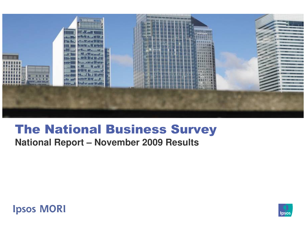

# The National Business Survey

**National Report – November 2009 Results**

**Ipsos MORI** 

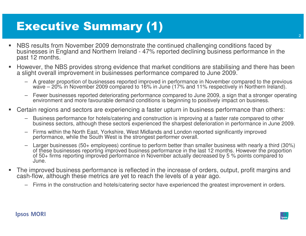# Executive Summary (1)

- NBS results from November 2009 demonstrate the continued challenging conditions faced by businesses in England and Northern Ireland - 47% reported declining business performance in the past 12 months.
- ▉ However, the NBS provides strong evidence that market conditions are stabilising and there has been a slight overall improvement in businesses performance compared to June 2009.
	- A greater proportion of businesses reported improved in performance in November compared to the previous wave – 20% in November 2009 compared to 16% in June (17% and 11% respectively in Northern Ireland).
	- Fewer businesses reported deteriorating performance compared to June 2009, a sign that a stronger operating<br>environment and more favourable demand conditions is beginning to positively impact on business.
- Certain regions and sectors are experiencing a faster upturn in business performance than others:
	- Business performance for hotels/catering and construction is improving at a faster rate compared to other business sectors, although these sectors experienced the sharpest deterioration in performance in June 2009.
	- –Firms within the North East, Yorkshire, West Midlands and London reported significantly improved performance, while the South West is the strongest performer overall.
	- – Larger businesses (50+ employees) continue to perform better than smaller business with nearly a third (30%) of these businesses reporting improved business performance in the last 12 months. However the proportion of 50+ firms reporting improved performance in November actually decreased by 5 % points compared to June.
- ▉ The improved business performance is reflected in the increase of orders, output, profit margins and cash-flow, although these metrics are yet to reach the levels of a year ago.
	- Firms in the construction and hotels/catering sector have experienced the greatest improvement in orders.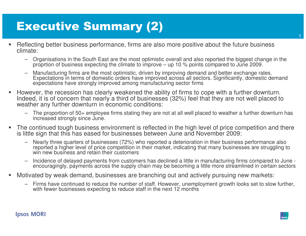# Executive Summary (2)

- Reflecting better business performance, firms are also more positive about the future business climate:
	- –Organisations in the South East are the most optimistic overall and also reported the biggest change in the proprtion of business expecting the climate to improve – up 10 % points compared to June 2009.
	- –Manufacturing firms are the most optimistic, driven by improving demand and better exchange rates.<br>Expectations in terms of domestic orders have improved across all sectors. Significantly, domestic demand<br>expectations have
- However, the recession has clearly weakened the ability of firms to cope with a further downturn. Indeed, it is of concern that nearly a third of businesses (32%) feel that they are not well placed to weather any further downturn in economic conditions:
	- – The proportion of 50+ employee firms stating they are not at all well placed to weather a further downturn has increased strongly since June.
- The continued tough business environment is reflected in the high level of price competition and thereis little sign that this has eased for businesses between June and November 2009:
	- Nearly three quarters of businesses (72%) who reported a deterioration in their business performance also reported a higher level of price competition in their market, indicating that many businesses are struggling to win new business and retain their customers
	- Incidence of delayed payments from customers has declined a little in manufacturing firms compared to June encouragingly, payments across the supply chain may be becoming a little more streamlined in certain sectors
- Motivated by weak demand, businesses are branching out and actively pursuing new markets:
	- Firms have continued to reduce the number of staff. However, unemployment growth looks set to slow further, with fewer businesses expecting to reduce staff in the next 12 months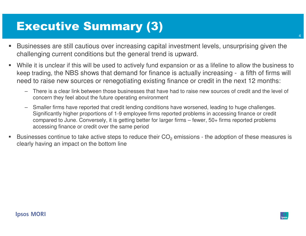# Executive Summary (3)

- Businesses are still cautious over increasing capital investment levels, unsurprising given the challenging current conditions but the general trend is upward.
- While it is unclear if this will be used to actively fund expansion or as a lifeline to allow the business to keep trading, the NBS shows that demand for finance is actually increasing - a fifth of firms will need to raise new sources or renegotiating existing finance or credit in the next 12 months:
	- – There is a clear link between those businesses that have had to raise new sources of credit and the level of concern they feel about the future operating environment
	- Smaller firms have reported that credit lending conditions have worsened, leading to huge challenges. Significantly higher proportions of 1-9 employee firms reported problems in accessing finance or credit compared to June. Conversely, it is getting better for larger firms – fewer, 50+ firms reported problems accessing finance or credit over the same period
- Businesses continue to take active steps to reduce their  $CO_2$  emissions - the adoption of these measures is clearly having an impact on the bottom line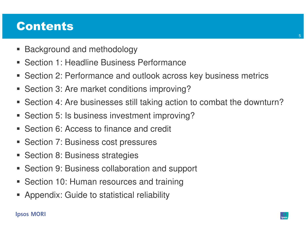## Contents

- h. Background and methodology
- h. Section 1: Headline Business Performance
- $\blacksquare$ Section 2: Performance and outlook across key business metrics
- P. Section 3: Are market conditions improving?
- Section 4: Are businesses still taking action to combat the downturn?
- Section 5: Is business investment improving?
- Section 6: Access to finance and credit
- h. Section 7: Business cost pressures
- P. Section 8: Business strategies
- P. Section 9: Business collaboration and support
- h. Section 10: Human resources and training
- Appendix: Guide to statistical reliability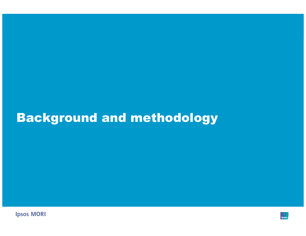# Background and methodology

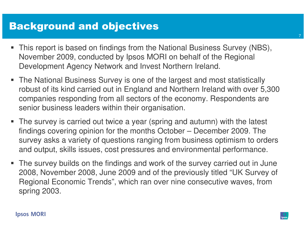## Background and objectives

- This report is based on findings from the National Business Survey (NBS), November 2009, conducted by Ipsos MORI on behalf of the RegionalDevelopment Agency Network and Invest Northern Ireland.
- The National Business Survey is one of the largest and most statistically robust of its kind carried out in England and Northern Ireland with over 5,300 companies responding from all sectors of the economy. Respondents are senior business leaders within their organisation.
- The survey is carried out twice a year (spring and autumn) with the latest findings covering opinion for the months October – December 2009. The survey asks a variety of questions ranging from business optimism to orders and output, skills issues, cost pressures and environmental performance.
- The survey builds on the findings and work of the survey carried out in June 2008, November 2008, June 2009 and of the previously titled "UK Survey of Regional Economic Trends", which ran over nine consecutive waves, from spring 2003.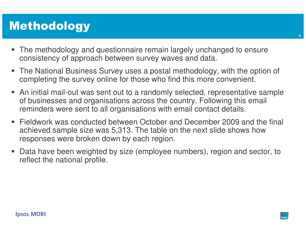# Methodology

- The methodology and questionnaire remain largely unchanged to ensure consistency of approach between survey waves and data.
- The National Business Survey uses a postal methodology, with the option of completing the survey online for those who find this more convenient.
- An initial mail-out was sent out to a randomly selected, representative sample of businesses and organisations across the country. Following this email reminders were sent to all organisations with email contact details.
- Fieldwork was conducted between October and December 2009 and the final achieved sample size was 5,313. The table on the next slide shows how responses were broken down by each region.
- I. Data have been weighted by size (employee numbers), region and sector, to reflect the national profile.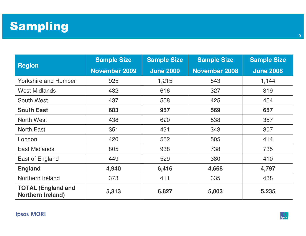

|                                                       | <b>Sample Size</b>   | <b>Sample Size</b> | <b>Sample Size</b>   | <b>Sample Size</b> |  |
|-------------------------------------------------------|----------------------|--------------------|----------------------|--------------------|--|
| <b>Region</b>                                         | <b>November 2009</b> | <b>June 2009</b>   | <b>November 2008</b> | <b>June 2008</b>   |  |
| <b>Yorkshire and Humber</b>                           | 925                  | 1,215              | 843                  | 1,144              |  |
| <b>West Midlands</b>                                  | 432                  | 616                | 327                  | 319                |  |
| South West                                            | 437                  | 558                | 425                  | 454                |  |
| <b>South East</b>                                     | 683                  | 957                | 569                  | 657                |  |
| North West                                            | 438                  | 620                | 538                  | 357                |  |
| <b>North East</b>                                     | 351                  | 431                | 343                  | 307                |  |
| London                                                | 420                  | 552                | 505                  | 414                |  |
| <b>East Midlands</b>                                  | 805                  | 938                | 738                  | 735                |  |
| East of England                                       | 449                  | 529                | 380                  | 410                |  |
| <b>England</b>                                        | 4,940                | 6,416              | 4,668                | 4,797              |  |
| Northern Ireland                                      | 373                  | 411                | 335                  | 438                |  |
| <b>TOTAL (England and</b><br><b>Northern Ireland)</b> | 5,313                | 6,827              | 5,003                | 5,235              |  |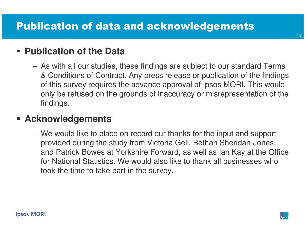## **Publication of the Data**

 As with all our studies, these findings are subject to our standard Terms & Conditions of Contract. Any press release or publication of the findings of this survey requires the advance approval of Ipsos MORI. This would only be refused on the grounds of inaccuracy or misrepresentation of the findings.

## **Acknowledgements**

 We would like to place on record our thanks for the input and support provided during the study from Victoria Gell, Bethan Sheridan-Jones, and Patrick Bowes at Yorkshire Forward, as well as Ian Kay at the Office for National Statistics. We would also like to thank all businesses who took the time to take part in the survey.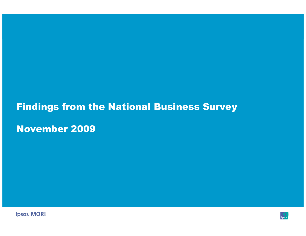## Findings from the National Business Survey

November 2009



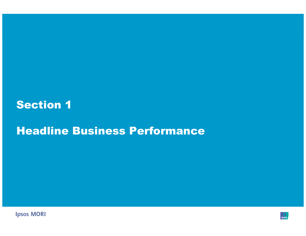## Section 1

## Headline Business Performance



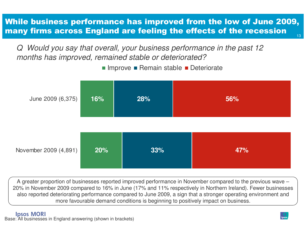#### 13While business performance has improved from the low of June 2009, many firms across England are feeling the effects of the recession

Q Would you say that overall, your business performance in the past 12 months has improved, remained stable or deteriorated?

Improve ■ Remain stable ■ Deteriorate



A greater proportion of businesses reported improved performance in November compared to the previous wave – 20% in November 2009 compared to 16% in June (17% and 11% respectively in Northern Ireland). Fewer businesses also reported deteriorating performance compared to June 2009, a sign that a stronger operating environment and more favourable demand conditions is beginning to positively impact on business.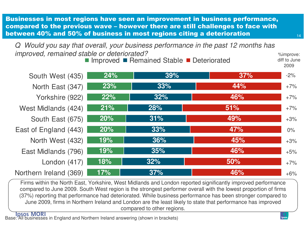Businesses in most regions have seen an improvement in business performance, compared to the previous wave – however there are still challenges to face with between 40% and 50% of business in most regions citing a deterioration

Q Would you say that overall, your business performance in the past 12 months has improved, remained stable or deteriorated?stand the parameters of the standard standard in the standard state of the standard state of the standard state of the state of the state of the state of the state of the state of the state of the state of the state of the

**24% 23% 22% 21% 20% 20% 19% 19% 18% 17%39%33% 32% 28% 31% 33% 36% 35% 32% 37%37%44% 46% 51% 49% 47% 45% 46% 50% 46%**South West (435)North East (347)Yorkshire (922)West Midlands (424)South East (675)East of England (443)North West (432)East Midlands (796)London (417)Northern Ireland (369)Improved ■ Remained Stable ■ Deteriorated 2009-2% $+7%$  $+7%$  $+7%$ +3% $0%$ +3%+5% $+7%$  $+6%$ 

 Firms within the North East, Yorkshire, West Midlands and London reported significantly improved performance compared to June 2009. South West region is the strongest performer overall with the lowest proportion of firms (37%) reporting that performance had deteriorated. While business performance has been stronger compared to June 2009, firms in Northern Ireland and London are the least likely to state that performance has improved compared to other regions.

**Ipsos MORI** Base: All businesses in England and Northern Ireland answering (shown in brackets)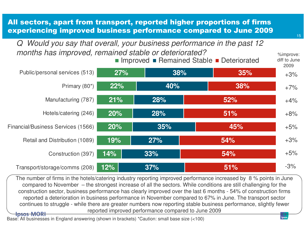All sectors, apart from transport, reported higher proportions of firms experiencing improved business performance compared to June 2009

Q Would you say that overall, your business performance in the past 12 months has improved, remained stable or deteriorated? $\frac{1}{2}$  %improve:



 The number of firms in the hotels/catering industry reporting improved performance increased by 8 % points in June compared to November – the strongest increase of all the sectors. While conditions are still challenging for the construction sector, business performance has clearly improved over the last 6 months - 54% of construction firms reported a deterioration in business performance in November compared to 67% in June. The transport sector continues to struggle - while there are greater numbers now reporting stable business performance, slightly fewer reported improved performance compared to June 2009**Ipsos MORI** 

#### Base: All businesses in England answering (shown in brackets) \*Caution: small base size (<100)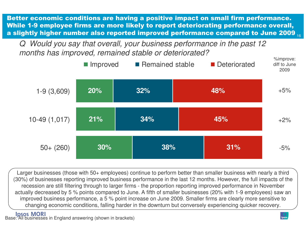16Better economic conditions are having a positive impact on small firm performance. While 1-9 employee firms are more likely to report deteriorating performance overall, a slightly higher number also reported improved performance compared to June 2009

Q Would you say that overall, your business performance in the past 12 months has improved, remained stable or deteriorated?



Larger businesses (those with 50+ employees) continue to perform better than smaller business with nearly a third (30%) of businesses reporting improved business performance in the last 12 months. However, the full impacts of the recession are still filtering through to larger firms - the proportion reporting improved performance in November actually decreased by 5 % points compared to June. A fifth of smaller businesses (20% with 1-9 employees) saw an improved business performance, a 5 % point increase on June 2009. Smaller firms are clearly more sensitive to changing economic conditions, falling harder in the downturn but conversely experiencing quicker recovery.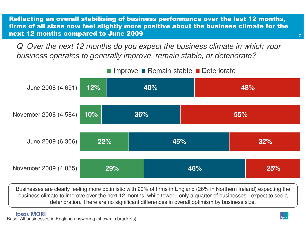Reflecting an overall stabilising of business performance over the last 12 months, firms of all sizes now feel slightly more positive about the business climate for the next 12 months compared to June 2009

Q Over the next 12 months do you expect the business climate in which your business operates to generally improve, remain stable, or deteriorate?



Businesses are clearly feeling more optimistic with 29% of firms in England (26% in Northern Ireland) expecting the business climate to improve over the next 12 months, while fewer - only a quarter of businesses - expect to see a deterioration. There are no significant differences in overall optimism by business size.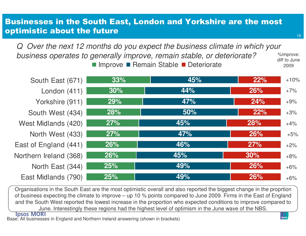### Businesses in the South East, London and Yorkshire are the most optimistic about the future

Improve ■ Remain Stable ■ Deteriorate Q Over the next 12 months do you expect the business climate in which your business operates to generally improve, remain stable, or deteriorate?%improve: diff to June

**33% 30% 29% 28% 27% 27% 26% 26% 25% 25%45% 44% 47% 50% 45% 47% 46% 45% 49% 49%22% 26% 24% 22% 28% 26% 27% 30% 26% 26%**South East (671)London (411)Yorkshire (911)South West (434)West Midlands (420)North West (433)East of England (441)Northern Ireland (368)North East (344)East Midlands (790) $+10%$  $+7%$ +9% $+3%$  $+4%$  $+5%$  $+2%$  $+8%$  $+6%$  $+6%$ 

Organisations in the South East are the most optimistic overall and also reported the biggest change in the proprtion of business expecting the climate to improve – up 10 % points compared to June 2009. Firms in the East of England and the South West reported the lowest increase in the proportion who expected conditions to improve compared to June. Interestingly these regions had the highest level of optimism in the June wave of the NBS.<br>Ipsos MORI

Base: All businesses in England and Northern Ireland answering (shown in brackets)

18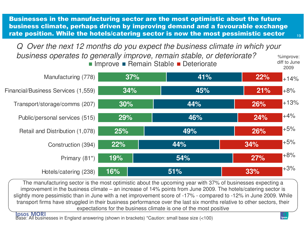Businesses in the manufacturing sector are the most optimistic about the future business climate, perhaps driven by improving demand and a favourable exchange rate position. While the hotels/catering sector is now the most pessimistic sector

Q Over the next 12 months do you expect the business climate in which your business operates to generally improve, remain stable, or deteriorate? %improve: diff to June



 The manufacturing sector is the most optimistic about the upcoming year with 37% of businesses expecting a improvement in the business climate – an increase of 14% points from June 2009. The hotels/catering sector is slightly more pessimistic than in June with a net improvement score of -17% - compared to -12% in June 2009. While transport firms have struggled in their business performance over the last six months relative to other sectors, their expectations for the business climate is one of the most positive

Base: All businesses in England answering (shown in brackets) \*Caution: small base size (<100)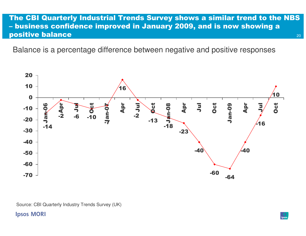#### 20The CBI Quarterly Industrial Trends Survey shows a similar trend to the NBS – business confidence improved in January 2009, and is now showing a positive balance

Balance is a percentage difference between negative and positive responses



#### **Ipsos MORI**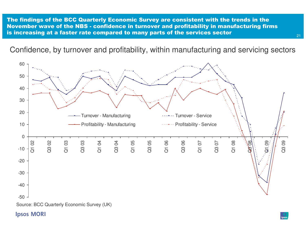The findings of the BCC Quarterly Economic Survey are consistent with the trends in the November wave of the NBS - confidence in turnover and profitability in manufacturing firms is increasing at a faster rate compared to many parts of the services sector

Confidence, by turnover and profitability, within manufacturing and servicing sectors



#### **Ipsos MORI**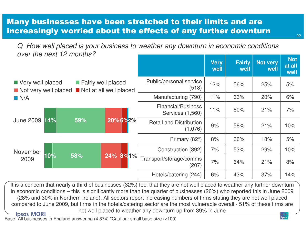### Many businesses have been stretched to their limits and are increasingly worried about the effects of any further downturn

Q How well placed is your business to weather any downturn in economic conditions over the next 12 months?

|                                                 |                                              |                     |                                               | <b>Very</b><br>well | <b>Fairly</b><br>well | <b>Not very</b><br>well | <b>Not</b><br>at all<br>well |
|-------------------------------------------------|----------------------------------------------|---------------------|-----------------------------------------------|---------------------|-----------------------|-------------------------|------------------------------|
| Very well placed<br>Not very well placed<br>N/A | Fairly well placed<br>Not at all well placed |                     | Public/personal service<br>(518)              | 12%                 | 56%                   | 25%                     | 5%                           |
|                                                 |                                              | Manufacturing (790) | 11%                                           | 63%                 | 20%                   | 6%                      |                              |
| <b>June 2009</b><br>14%                         |                                              |                     | <b>Financial/Business</b><br>Services (1,560) | 11%                 | 60%                   | 21%                     | 7%                           |
|                                                 | 59%                                          | 20%6%2%             | <b>Retail and Distribution</b><br>(1,076)     | 9%                  | 58%                   | 21%                     | 10%                          |
|                                                 |                                              |                     | Primary (82*)                                 | 8%                  | 66%                   | 18%                     | 5%                           |
| November<br>10%<br>2009                         | 58%                                          |                     | Construction (392)                            | 7%                  | 53%                   | 29%                     | 10%                          |
|                                                 |                                              | 24% 8% 1%           | Transport/storage/comms<br>(207)              | 7%                  | 64%                   | 21%                     | 8%                           |
|                                                 |                                              |                     | Hotels/catering (244)                         | 6%                  | 43%                   | 37%                     | 14%                          |

It is a concern that nearly a third of businesses (32%) feel that they are not well placed to weather any further downturn in economic conditions – this is significantly more than the quarter of businesses (26%) who reported this in June 2009 (28% and 30% in Northern Ireland). All sectors report increasing numbers of firms stating they are not well placed compared to June 2009, but firms in the hotels/catering sector are the most vulnerable overall - 51% of these firms are not well placed to weather any downturn up from 39% in June**Ipsos MORI** 

Base: All businesses in England answering (4,874) \*Caution: small base size (<100)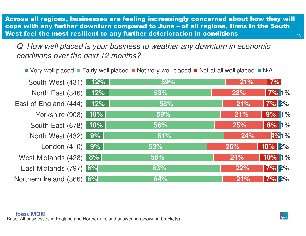23Across all regions, businesses are feeling increasingly concerned about how they will cope with any further downturn compared to June – of all regions, firms in the South West feel the most resilient to any further deterioration in conditions

Q How well placed is your business to weather any downturn in economic conditions over the next 12 months?

|                           |        | ■ Very well placed ■ Fairly well placed ■ Not very well placed ■ Not at all well placed ■ N/A |     |               |
|---------------------------|--------|-----------------------------------------------------------------------------------------------|-----|---------------|
| South West (431)          | $12\%$ | 59%                                                                                           | 21% | 7%            |
| North East (346) 12%      |        | 53%                                                                                           | 28% | <b>7% 1%</b>  |
| East of England (444) 12% |        | 58%                                                                                           | 21% | <b>7% 2%</b>  |
| Yorkshire (908) 10%       |        | 59%                                                                                           | 21% | 9% 1%         |
| South East (678) 10%      |        | 56%                                                                                           | 25% | 8% 1%         |
| North West (432) 9%       |        | 61%                                                                                           | 24% | 4%1%          |
| London (410) 9%           |        | 53%                                                                                           | 26% | <b>10% 2%</b> |
| West Midlands (428) 8%    |        | 58%                                                                                           | 24% | 10% 1%        |
| East Midlands (797) 6%    |        | 63%                                                                                           | 22% | <b>7% 2%</b>  |
| Northern Ireland (366) 6% |        | 64%                                                                                           | 21% | $7\%$ 2%      |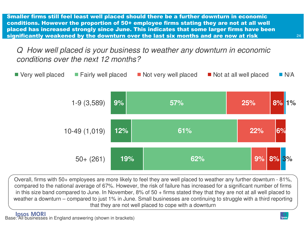Smaller firms still feel least well placed should there be a further downturn in economic conditions. However the proportion of 50+ employee firms stating they are not at all well placed has increased strongly since June. This indicates that some larger firms have been significantly weakened by the downturn over the last six months and are now at risk

### Q How well placed is your business to weather any downturn in economic conditions over the next 12 months?



Overall, firms with 50+ employees are more likely to feel they are well placed to weather any further downturn - 81%, compared to the national average of 67%. However, the risk of failure has increased for a significant number of firms in this size band compared to June. In November, 8% of 50 + firms stated they that they are not at all well placed to weather a downturn – compared to just 1% in June. Small businesses are continuing to struggle with a third reporting that they are not well placed to cope with a downturn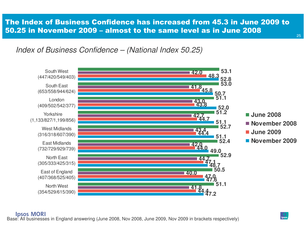### The Index of Business Confidence has increased from 45.3 in June 2009 to 50.25 in November 2009 – almost to the same level as in June 2008

Index of Business Confidence – (National Index 50.25)



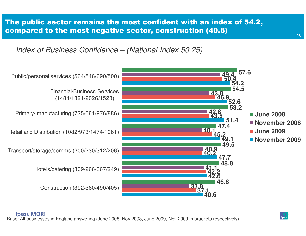### The public sector remains the most confident with an index of 54.2, compared to the most negative sector, construction (40.6)

Index of Business Confidence – (National Index 50.25)

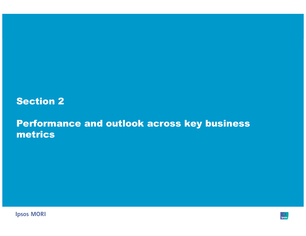### Section 2

## Performance and outlook across key business metrics

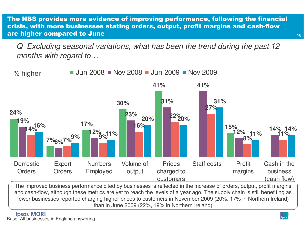The NBS provides more evidence of improving performance, following the financial crisis, with more businesses stating orders, output, profit margins and cash-flow are higher compared to June

Q Excluding seasonal variations, what has been the trend during the past 12 months with regard to…



 The improved business performance cited by businesses is reflected in the increase of orders, output, profit margins and cash-flow, although these metrics are yet to reach the levels of a year ago. The supply chain is still benefiting as fewer businesses reported charging higher prices to customers in November 2009 (20%, 17% in Northern Ireland) than in June 2009 (22%, 19% in Northern Ireland)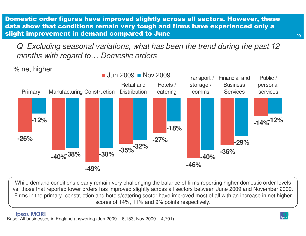Domestic order figures have improved slightly across all sectors. However, these data show that conditions remain very tough and firms have experienced only a slight improvement in demand compared to June

Q Excluding seasonal variations, what has been the trend during the past 12 months with regard to… Domestic orders

% net higher



While demand conditions clearly remain very challenging the balance of firms reporting higher domestic order levels vs. those that reported lower orders has improved slightly across all sectors between June 2009 and November 2009. Firms in the primary, construction and hotels/catering sector have improved most of all with an increase in net higher scores of 14%, 11% and 9% points respectively.

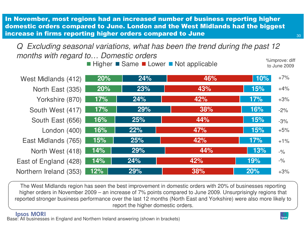In November, most regions had an increased number of business reporting higher domestic orders compared to June. London and the West Midlands had the biggest increase in firms reporting higher orders compared to June

Higher Same Lower Not applicable **Manufation** Simprove: diff Q Excluding seasonal variations, what has been the trend during the past 12 months with regard to… Domestic orders

**20% 20% 17% 17% 16% 16% 15% 14% 14% 12%24% 23% 24% 29% 25% 22% 25% 29% 24% 29%46% 43% 42% 38% 44% 47% 42% 44%42% 38%10% 15% 17% 16% 15% 15% 17% 13% 19% 20%**West Midlands (412)North East (335)Yorkshire (870)South West (417)South East (656)London (400)East Midlands (765)North West (418)East of England (428)Northern Ireland (353)+7% $+4%$ +3% $-2\%$ -3% +5% $+1\%$  $-9/6$  -%+3%

The West Midlands region has seen the best improvement in domestic orders with 20% of businesses reporting higher orders in November 2009 – an increase of 7% points compared to June 2009. Unsurprisingly regions that reported stronger business performance over the last 12 months (North East and Yorkshire) were also more likely to report the higher domestic orders.

30

to June 2009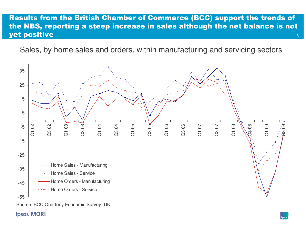#### 31Results from the British Chamber of Commerce (BCC) support the trends of the NBS, reporting a steep increase in sales although the net balance is not yet positive

Sales, by home sales and orders, within manufacturing and servicing sectors



#### **Ipsos MORI**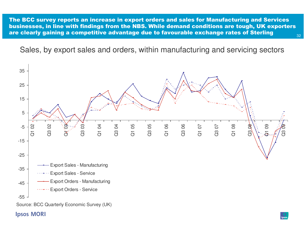32The BCC survey reports an increase in export orders and sales for Manufacturing and Services businesses, in line with findings from the NBS. While demand conditions are tough, UK exporters are clearly gaining a competitive advantage due to favourable exchange rates of Sterling

Sales, by export sales and orders, within manufacturing and servicing sectors



#### **Ipsos MORI**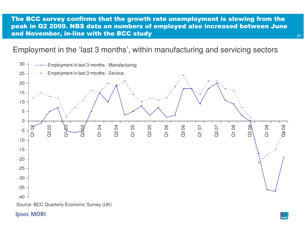#### The BCC survey confirms that the growth rate unemployment is slowing from the peak in Q2 2009. NBS data on numbers of employed also increased between June and November, in-line with the BCC study

### Employment in the 'last 3 months', within manufacturing and servicing sectors



#### **Ipsos MORI**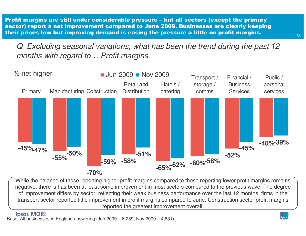Profit margins are still under considerable pressure – but all sectors (except the primary sector) report a net improvement compared to June 2009. Businesses are clearly keeping their prices low but improving demand is easing the pressure a little on profit margins.

Q Excluding seasonal variations, what has been the trend during the past 12 months with regard to… Profit margins



While the balance of those reporting higher profit margins compared to those reporting lower profit margins remains negative, there is has been at least some improvement in most sectors compared to the previous wave. The degree of improvement differs by sector; reflecting their weak business performance over the last 12 months, firms in the transport sector reported little improvement in profit margins compared to June. Construction sector profit margins reported the greatest improvement overall.

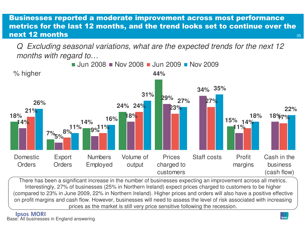#### 35Businesses reported a moderate improvement across most performance metrics for the last 12 months, and the trend looks set to continue over the next 12 months

Q Excluding seasonal variations, what are the expected trends for the next 12 months with regard to…



There has been a significant increase in the number of businesses expecting an improvement across all metrics. Interestingly, 27% of businesses (25% in Northern Ireland) expect prices charged to customers to be higher (compared to 23% in June 2009, 22% in Northern Ireland). Higher prices and orders will also have a positive effective on profit margins and cash flow. However, businesses will need to assess the level of risk associated with increasing prices as the market is still very price sensitive following the recession.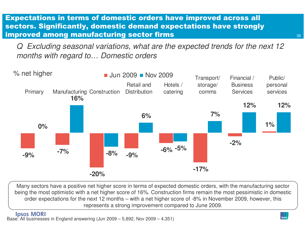### Expectations in terms of domestic orders have improved across all sectors. Significantly, domestic demand expectations have strongly improved among manufacturing sector firms

Q Excluding seasonal variations, what are the expected trends for the next 12 months with regard to… Domestic orders



Many sectors have a positive net higher score in terms of expected domestic orders, with the manufacturing sector being the most optimistic with a net higher score of 16%. Construction firms remain the most pessimistic in domestic order expectations for the next 12 months – with a net higher score of -8% in November 2009, however, this represents a strong improvement compared to June 2009.

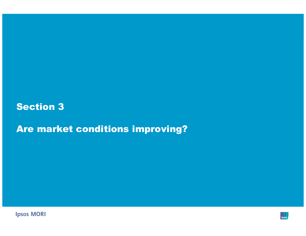## Section 3

Are market conditions improving?



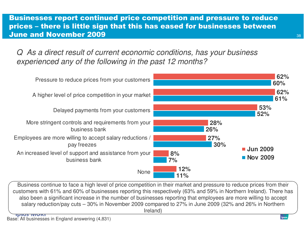#### Businesses report continued price competition and pressure to reduce prices – there is little sign that this has eased for businesses between June and November 2009

Q As a direct result of current economic conditions, has your business experienced any of the following in the past 12 months?



 Business continue to face a high level of price competition in their market and pressure to reduce prices from their customers with 61% and 60% of businesses reporting this respectively (63% and 59% in Northern Ireland). There has also been a significant increase in the number of businesses reporting that employees are more willing to accept salary reduction/pay cuts – 30% in November 2009 compared to 27% in June 2009 (32% and 26% in Northern Ireland)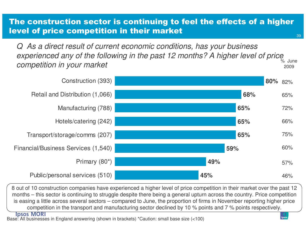## The construction sector is continuing to feel the effects of a higher level of price competition in their market

Q As a direct result of current economic conditions, has your business experienced any of the following in the past 12 months? A higher level of price competition in your market% June 2009



8 out of 10 construction companies have experienced a higher level of price competition in their market over the past 12 months – this sector is continuing to struggle despite there being a general upturn across the country. Price competition is easing a little across several sectors – compared to June, the proportion of firms in November reporting higher price competition in the transport and manufacturing sector declined by 10 % points and 7 % points respectively.

**Ipsos MORI** 

Base: All businesses in England answering (shown in brackets) \*Caution: small base size (<100)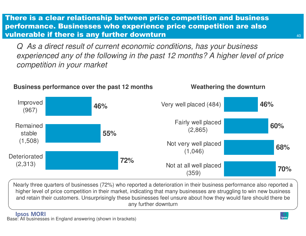There is a clear relationship between price competition and business performance. Businesses who experience price competition are also vulnerable if there is any further downturn

Q As a direct result of current economic conditions, has your business experienced any of the following in the past 12 months? A higher level of price competition in your market



Nearly three quarters of businesses (72%) who reported a deterioration in their business performance also reported a higher level of price competition in their market, indicating that many businesses are struggling to win new business and retain their customers. Unsurprisingly these businesses feel unsure about how they would fare should there be any further downturn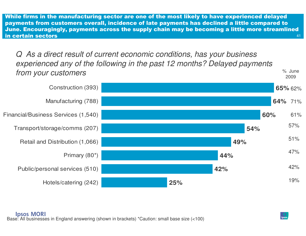41While firms in the manufacturing sector are one of the most likely to have experienced delayed payments from customers overall, incidence of late payments has declined a little compared to June. Encouragingly, payments across the supply chain may be becoming a little more streamlined in certain sectors

Q As a direct result of current economic conditions, has your business experienced any of the following in the past 12 months? Delayed payments from your customers $^{\circ}\text{S}$   $^{\circ}\text{S}$  June 2009

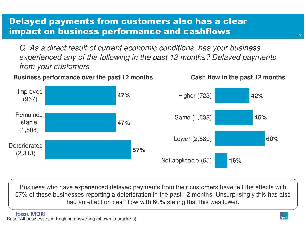## Delayed payments from customers also has a clear impact on business performance and cashflows

Q As a direct result of current economic conditions, has your business experienced any of the following in the past 12 months? Delayed payments from your customers

#### **Business performance over the past 12 months Cash flow in the past 12 months**



Business who have experienced delayed payments from their customers have felt the effects with 57% of these businesses reporting a deterioration in the past 12 months. Unsurprisingly this has also had an effect on cash flow with 60% stating that this was lower.

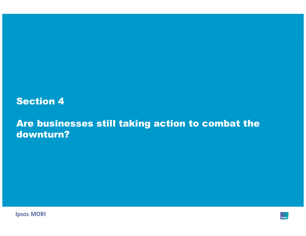## Section 4

## Are businesses still taking action to combat the downturn?

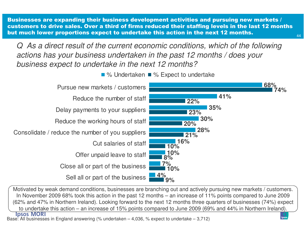Businesses are expanding their business development activities and pursuing new markets / customers to drive sales. Over a third of firms reduced their staffing levels in the last 12 months but much lower proportions expect to undertake this action in the next 12 months.

Q As a direct result of the current economic conditions, which of the following actions has your business undertaken in the past 12 months / does your business expect to undertake in the next 12 months?



 Motivated by weak demand conditions, businesses are branching out and actively pursuing new markets / customers. In November 2009 68% took this action in the past 12 months – an increase of 11% points compared to June 2009 (62% and 47% in Northern Ireland). Looking forward to the next 12 months three quarters of businesses (74%) expect to undertake this action – an increase of 15% points compared to June 2009 (69% and 44% in Northern Ireland).

Base: All businesses in England answering (% undertaken – 4,036, % expect to undertake – 3,712)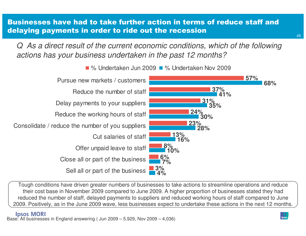#### Businesses have had to take further action in terms of reduce staff and delaying payments in order to ride out the recession

Q As a direct result of the current economic conditions, which of the following actions has your business undertaken in the past 12 months?



% Undertaken Jun 2009 ■ % Undertaken Nov 2009

Tough conditions have driven greater numbers of businesses to take actions to streamline operations and reduce their cost base in November 2009 compared to June 2009. A higher proportion of businesses stated they had reduced the number of staff, delayed payments to suppliers and reduced working hours of staff compared to June 2009. Positively, as in the June 2009 wave, less businesses expect to undertake these actions in the next 12 months.

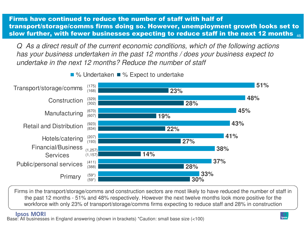46Firms have continued to reduce the number of staff with half of transport/storage/comms firms doing so. However, unemployment growth looks set to slow further, with fewer businesses expecting to reduce staff in the next 12 months  $_{\tiny 40}$ 

Q As a direct result of the current economic conditions, which of the following actions has your business undertaken in the past 12 months / does your business expect to undertake in the next 12 months? Reduce the number of staff

% Undertaken  $\blacksquare$  % Expect to undertake



Firms in the transport/storage/comms and construction sectors are most likely to have reduced the number of staff in the past 12 months - 51% and 48% respectively. However the next twelve months look more positive for the workforce with only 23% of transport/storage/comms firms expecting to reduce staff and 28% in construction

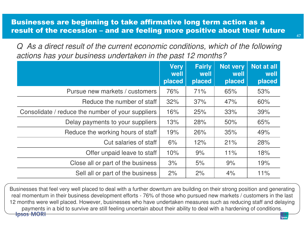#### Businesses are beginning to take affirmative long term action as <sup>a</sup> result of the recession – and are feeling more positive about their future

Q As a direct result of the current economic conditions, which of the following actions has your business undertaken in the past 12 months?

|                                                   | <b>Very</b><br>well<br>placed | <b>Fairly</b><br>well<br>placed | <b>Not very</b><br>well<br>placed | Not at all<br>well<br>placed |
|---------------------------------------------------|-------------------------------|---------------------------------|-----------------------------------|------------------------------|
| Pursue new markets / customers                    | 76%                           | 71%                             | 65%                               | 53%                          |
| Reduce the number of staff                        | 32%                           | 37%                             | 47%                               | 60%                          |
| Consolidate / reduce the number of your suppliers | 16%                           | 25%                             | 33%                               | 39%                          |
| Delay payments to your suppliers                  | 13%                           | 28%                             | 50%                               | 65%                          |
| Reduce the working hours of staff                 | 19%                           | 26%                             | 35%                               | 49%                          |
| Cut salaries of staff                             | 6%                            | 12%                             | 21%                               | 28%                          |
| Offer unpaid leave to staff                       | 10%                           | 9%                              | 11%                               | 18%                          |
| Close all or part of the business                 | 3%                            | 5%                              | 9%                                | 19%                          |
| Sell all or part of the business                  | 2%                            | 2%                              | 4%                                | 11%                          |

Businesses that feel very well placed to deal with a further downturn are building on their strong position and generating real momentum in their business development efforts - 76% of those who pursued new markets / customers in the last 12 months were well placed. However, businesses who have undertaken measures such as reducing staff and delaying payments in a bid to survive are still feeling uncertain about their ability to deal with a hardening of conditions.**Ipsos MORI**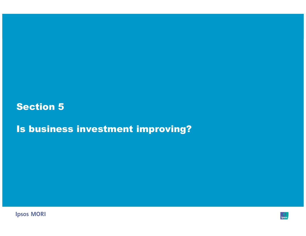## Section 5

Is business investment improving?



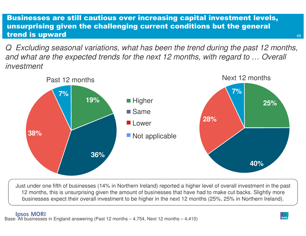#### Businesses are still cautious over increasing capital investment levels, unsurprising given the challenging current conditions but the general trend is upward

Q Excluding seasonal variations, what has been the trend during the past 12 months, and what are the expected trends for the next 12 months, with regard to … Overall investment



Just under one fifth of businesses (14% in Northern Ireland) reported a higher level of overall investment in the past 12 months, this is unsurprising given the amount of businesses that have had to make cut backs. Slightly more businesses expect their overall investment to be higher in the next 12 months (25%, 25% in Northern Ireland).

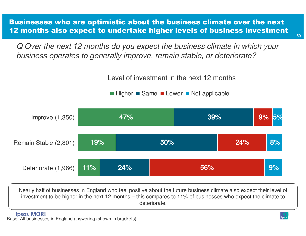Businesses who are optimistic about the business climate over the next 12 months also expect to undertake higher levels of business investment

Q Over the next 12 months do you expect the business climate in which your business operates to generally improve, remain stable, or deteriorate?

Level of investment in the next 12 months

Higher ■ Same ■ Lower ■ Not applicable



Nearly half of businesses in England who feel positive about the future business climate also expect their level of investment to be higher in the next 12 months – this compares to 11% of businesses who expect the climate to deteriorate.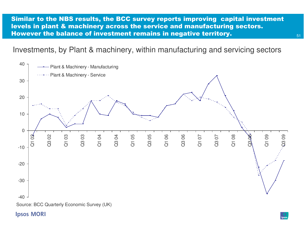Similar to the NBS results, the BCC survey reports improving capital investment levels in plant & machinery across the service and manufacturing sectors. However the balance of investment remains in negative territory.

Investments, by Plant & machinery, within manufacturing and servicing sectors



**Ipsos MORI**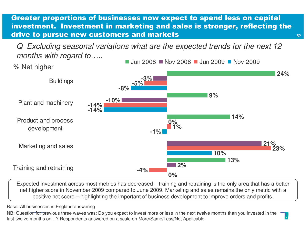Greater proportions of businesses now expect to spend less on capital investment. Investment in marketing and sales is stronger, reflecting the drive to pursue new customers and markets

52

Q Excluding seasonal variations what are the expected trends for the next 12 months with regard to.....



 Expected investment across most metrics has decreased – training and retraining is the only area that has a better net higher score in November 2009 compared to June 2009. Marketing and sales remains the only metric with a positive net score – highlighting the important of business development to improve orders and profits.

Base: All businesses in England answering

NB: Question for previous three waves was: Do you expect to invest more or less in the next twelve months than you invested in the last twelve months on…? Respondents answered on a scale on More/Same/Less/Not Applicable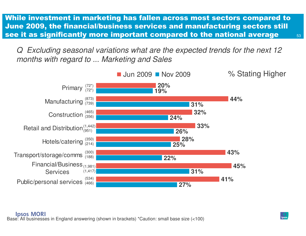While investment in marketing has fallen across most sectors compared to June 2009, the financial/business services and manufacturing sectors still see it as significantly more important compared to the national average

Excluding seasonal variations what are the expected trends for the next 12 months with regard to ... Marketing and Sales

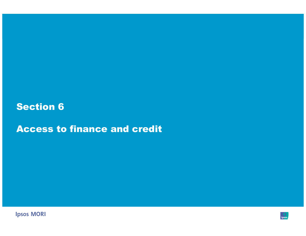## Section 6

Access to finance and credit



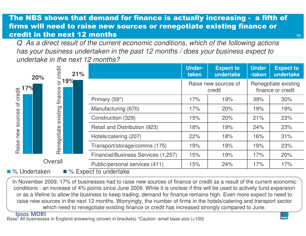## The NBS shows that demand for finance is actually increasing - a fifth of firms will need to raise new sources or renegotiate existing finance or credit in the next 12 months

 Q As a direct result of the current economic conditions, which of the following actions has your business undertaken in the past 12 months / does your business expect to undertake in the next 12 months?

|                                               | 20% | credit   | 21%                            |                                     | <b>Under-</b><br>taken         | <b>Expect to</b><br>undertake | <b>Under</b><br>-taken                    | <b>Expect to</b><br>undertake |
|-----------------------------------------------|-----|----------|--------------------------------|-------------------------------------|--------------------------------|-------------------------------|-------------------------------------------|-------------------------------|
| credit<br>$\sigma$<br>sources<br>new<br>Raise | 7%  | ð        | 19%                            |                                     | Raise new sources of<br>credit |                               | Renegotiate existing<br>finance or credit |                               |
|                                               |     | finance  |                                | Primary (59*)                       | 17%                            | 19%                           | 39%                                       | 30%                           |
|                                               |     | existing |                                | Manufacturing (670)                 | 17%                            | 20%                           | 19%                                       | 19%                           |
|                                               |     |          |                                | Construction (329)                  | 15%                            | 20%                           | 21%                                       | 23%                           |
|                                               |     |          | Renegotiate                    | Retail and Distribution (923)       | 18%                            | 19%                           | 24%                                       | 23%                           |
|                                               |     |          |                                | Hotels/catering (207)               | 22%                            | 18%                           | 16%                                       | 31%                           |
|                                               |     |          |                                | Transport/storage/comms (175)       | 19%                            | 19%                           | 19%                                       | 23%                           |
|                                               |     |          |                                | Financial/Business Services (1,257) | 15%                            | 19%                           | 17%                                       | 20%                           |
| Overall                                       |     |          | Public/personal services (411) | 15%                                 | 24%                            | 17%                           | 17%                                       |                               |
| ■ % Expect to undertake<br>% Undertaken       |     |          |                                |                                     |                                |                               |                                           |                               |

In November 2009, 17% of businesses had to raise new sources of finance or credit as a result of the current economic conditions - an increase of 4% points since June 2009. While it is unclear if this will be used to actively fund expansion or as a lifeline to allow the business to keep trading, demand for finance remains high. Even more expect to need to raise new sources in the next 12 months. Worryingly, the number of firms in the hotels/catering and transport sector which need to renegotiate existing finance or credit has increased strongly compared to June.

**Ipsos MORI**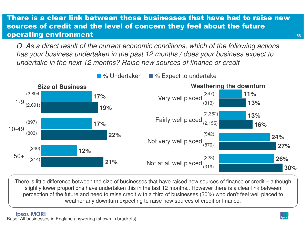#### There is a clear link between those businesses that have had to raise new sources of credit and the level of concern they feel about the future operating environment

Q As a direct result of the current economic conditions, which of the following actions has your business undertaken in the past 12 months / does your business expect to undertake in the next 12 months? Raise new sources of finance or credit

**17%17%12%19%22%21%**1-910-4950+**11% 13%13% 16%24% 27%26%30%**Very well placedFairly well placedNot very well placedNot at all well placed**Size of Business Weathering the downturn** ■ % Undertaken ■ % Expect to undertake (2,894)(897)(240)(2,691)(803)(214)(347)(313)(2,362)(2,155)(942)(870)(328)(319)

There is little difference between the size of businesses that have raised new sources of finance or credit – although slightly lower proportions have undertaken this in the last 12 months.. However there is a clear link between perception of the future and need to raise credit with a third of businesses (30%) who don't feel well placed to weather any downturn expecting to raise new sources of credit or finance.

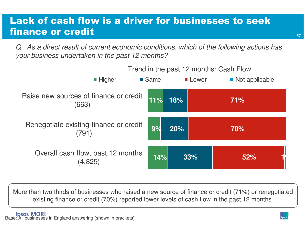# Lack of cash flow is a driver for businesses to seek finance or credit

Q. As a direct result of current economic conditions, which of the following actions has your business undertaken in the past 12 months?



More than two thirds of businesses who raised a new source of finance or credit (71%) or renegotiated existing finance or credit (70%) reported lower levels of cash flow in the past 12 months.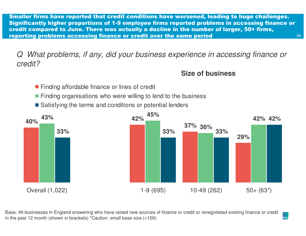58Smaller firms have reported that credit conditions have worsened, leading to huge challenges. Significantly higher proportions of 1-9 employee firms reported problems in accessing finance or credit compared to June. There was actually a decline in the number of larger, 50+ firms, reporting problems accessing finance or credit over the same period

Q What problems, if any, did your business experience in accessing finance or credit?

#### **Size of business**

- **Finding affordable finance or lines of credit**
- **Finding organisations who were willing to lend to the business**
- Satisfying the terms and conditions or potential lenders



Base: All businesses in England answering who have raised new sources of finance or credit or renegotiated existing finance or credit in the past 12 month (shown in brackets) \*Caution: small base size (<100)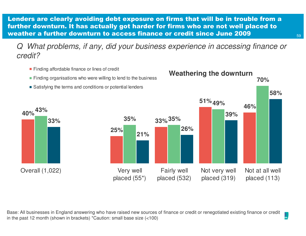Lenders are clearly avoiding debt exposure on firms that will be in trouble from a further downturn. It has actually got harder for firms who are not well placed to weather a further downturn to access finance or credit since June 2009

Q What problems, if any, did your business experience in accessing finance or credit?



Base: All businesses in England answering who have raised new sources of finance or credit or renegotiated existing finance or credit in the past 12 month (shown in brackets) \*Caution: small base size (<100)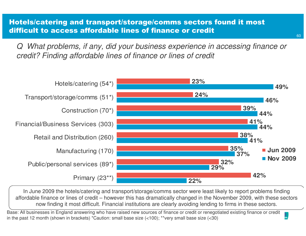Hotels/catering and transport/storage/comms sectors found it most difficult to access affordable lines of finance or credit

Q What problems, if any, did your business experience in accessing finance or credit? Finding affordable lines of finance or lines of credit



In June 2009 the hotels/catering and transport/storage/comms sector were least likely to report problems finding affordable finance or lines of credit – however this has dramatically changed in the November 2009, with these sectors now finding it most difficult. Financial institutions are clearly avoiding lending to firms in these sectors.

Base: All businesses in England answering who have raised new sources of finance or credit or renegotiated existing finance or credit in the past 12 month (shown in brackets) \*Caution: small base size (<100); \*\*very small base size (<30)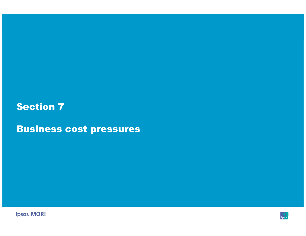## Section 7

Business cost pressures



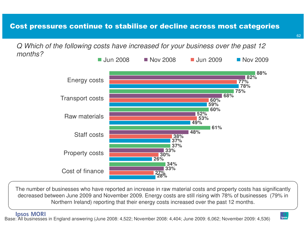## Cost pressures continue to stabilise or decline across most categories

Q Which of the following costs have increased for your business over the past 12 months?



The number of businesses who have reported an increase in raw material costs and property costs has significantly decreased between June 2009 and November 2009. Energy costs are still rising with 78% of businesses (79% in Northern Ireland) reporting that their energy costs increased over the past 12 months.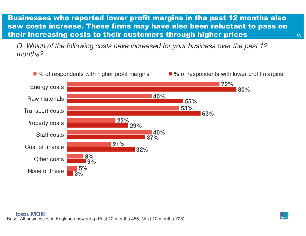Businesses who reported lower profit margins in the past 12 months also saw costs increase. These firms may have also been reluctant to pass on their increasing costs to their customers through higher prices

Which of the following costs have increased for your business over the past 12 months?

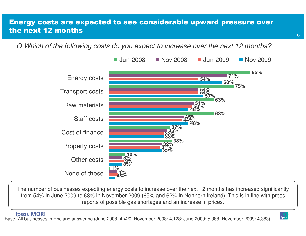#### Energy costs are expected to see considerable upward pressure over the next 12 months

Q Which of the following costs do you expect to increase over the next 12 months?



The number of businesses expecting energy costs to increase over the next 12 months has increased significantly from 54% in June 2009 to 68% in November 2009 (65% and 62% in Northern Ireland). This is in line with press reports of possible gas shortages and an increase in prices.

**Ipsos MORI** Base: All businesses in England answering (June 2008: 4,420; November 2008: 4,128; June 2009: 5,388; November 2009: 4,383)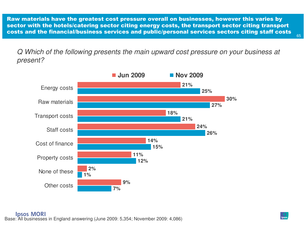Raw materials have the greatest cost pressure overall on businesses, however this varies by sector with the hotels/catering sector citing energy costs, the transport sector citing transport costs and the financial/business services and public/personal services sectors citing staff costs

Q Which of the following presents the main upward cost pressure on your business at present?

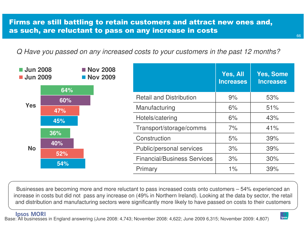Q Have you passed on any increased costs to your customers in the past 12 months?



Businesses are becoming more and more reluctant to pass increased costs onto customers – 54% experienced an increase in costs but did not pass any increase on (49% in Northern Ireland). Looking at the data by sector, the retail and distribution and manufacturing sectors were significantly more likely to have passed on costs to their customers

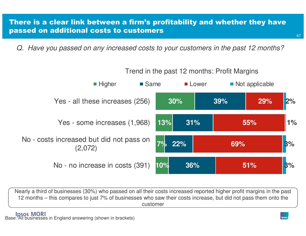#### There is a clear link between a firm's profitability and whether they have passed on additional costs to customers

Q. Have you passed on any increased costs to your customers in the past 12 months?



Nearly a third of businesses (30%) who passed on all their costs increased reported higher profit margins in the past 12 months – this compares to just 7% of businesses who saw their costs increase, but did not pass them onto the customer

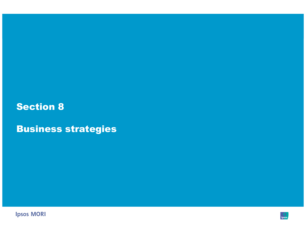## Section 8

Business strategies



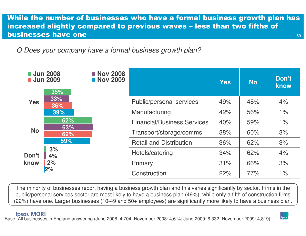#### 69While the number of businesses who have a formal business growth plan has increased slightly compared to previous waves – less than two fifths of businesses have one

Q Does your company have a formal business growth plan?

| <b>Jun 2008</b><br><b>Nov 2008</b><br><b>Nov 2009</b><br><b>Jun 2009</b> |                   |  | <b>Yes</b>                         | <b>No</b> | Don't<br>know |       |
|--------------------------------------------------------------------------|-------------------|--|------------------------------------|-----------|---------------|-------|
| <b>Yes</b>                                                               | 35%<br>33%<br>36% |  | Public/personal services           | 49%       | 48%           | 4%    |
|                                                                          | 39%               |  | Manufacturing                      | 42%       | 56%           | $1\%$ |
| <b>No</b><br>Don't<br>know                                               | 62%               |  | <b>Financial/Business Services</b> | 40%       | 59%           | 1%    |
|                                                                          | 63%<br>62%        |  | Transport/storage/comms            | 38%       | 60%           | 3%    |
|                                                                          | 59%               |  | <b>Retail and Distribution</b>     | 36%       | 62%           | 3%    |
|                                                                          | 3%<br>4%          |  | Hotels/catering                    | 34%       | 62%           | 4%    |
|                                                                          | 2%                |  | Primary                            | 31%       | 66%           | 3%    |
|                                                                          | 2%                |  | Construction                       | 22%       | 77%           | $1\%$ |

The minority of businesses report having a business growth plan and this varies significantly by sector. Firms in the public/personal services sector are most likely to have a business plan (49%), while only a fifth of construction firms (22%) have one. Larger businesses (10-49 and 50+ employees) are significantly more likely to have a business plan.

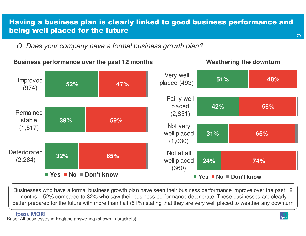## Having a business plan is clearly linked to good business performance and being well placed for the future

Q Does your company have a formal business growth plan?



**Business performance over the past 12 months Weathering the downturn** 

Businesses who have a formal business growth plan have seen their business performance improve over the past 12 months – 52% compared to 32% who saw their business performance deteriorate. These businesses are clearly better prepared for the future with more than half (51%) stating that they are very well placed to weather any downturn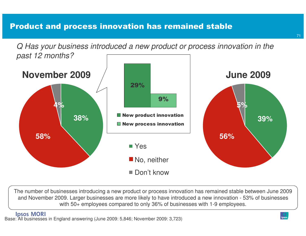## Product and process innovation has remained stable

Q Has your business introduced a new product or process innovation in the past 12 months?



The number of businesses introducing a new product or process innovation has remained stable between June 2009 and November 2009. Larger businesses are more likely to have introduced a new innovation - 53% of businesses with 50+ employees compared to only 36% of businesses with 1-9 employees.

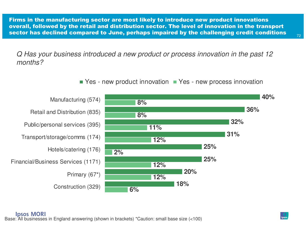Firms in the manufacturing sector are most likely to introduce new product innovations overall, followed by the retail and distribution sector. The level of innovation in the transport sector has declined compared to June, perhaps impaired by the challenging credit conditions

Q Has your business introduced a new product or process innovation in the past 12 months?

Yes - new product innovation  $\blacksquare$  Yes - new process innovation

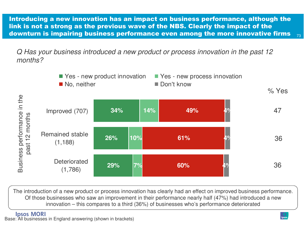Introducing a new innovation has an impact on business performance, although the link is not a strong as the previous wave of the NBS. Clearly the impact of the downturn is impairing business performance even among the more innovative firms

Q Has your business introduced a new product or process innovation in the past 12 months?



The introduction of a new product or process innovation has clearly had an effect on improved business performance. Of those businesses who saw an improvement in their performance nearly half (47%) had introduced a newinnovation – this compares to a third (36%) of businesses who's performance deteriorated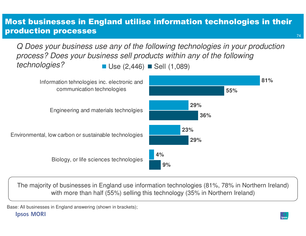### Most businesses in England utilise information technologies in their production processes

Use (2,446) ■ Sell (1,089) Q Does your business use any of the following technologies in your production process? Does your business sell products within any of the following technologies?



The majority of businesses in England use information technologies (81%, 78% in Northern Ireland) with more than half (55%) selling this technology (35% in Northern Ireland)

Base: All businesses in England answering (shown in brackets); **Ipsos MORI**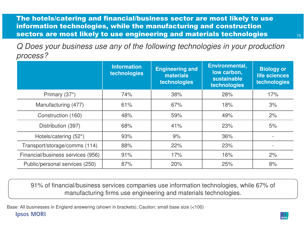The hotels/catering and financial/business sector are most likely to use information technologies, while the manufacturing and construction sectors are most likely to use engineering and materials technologies

Q Does your business use any of the following technologies in your production process?

|                                   | <b>Information</b><br>technologies | <b>Engineering and</b><br><b>materials</b><br>technologies | Environmental,<br>low carbon,<br>sustainable<br>technologies | <b>Biology or</b><br>life sciences<br>technologies |
|-----------------------------------|------------------------------------|------------------------------------------------------------|--------------------------------------------------------------|----------------------------------------------------|
| Primary (37*)                     | 74%                                | 38%                                                        | 28%                                                          | 17%                                                |
| Manufacturing (477)               | 61%                                | 67%                                                        | 18%                                                          | 3%                                                 |
| Construction (160)                | 48%                                | 59%                                                        | 49%                                                          | 2%                                                 |
| Distribution (397)                | 68%                                | 41%                                                        | 23%                                                          | 5%                                                 |
| Hotels/catering (52*)             | 93%                                | 9%                                                         | 36%                                                          |                                                    |
| Transport/storage/comms (114)     | 88%                                | 22%                                                        | 23%                                                          |                                                    |
| Financial/business services (956) | 91%                                | 17%                                                        | 16%                                                          | 2%                                                 |
| Public/personal services (250)    | 87%                                | 20%                                                        | 25%                                                          | 8%                                                 |

91% of financial/business services companies use information technologies, while 67% of manufacturing firms use engineering and materials technologies.

Base: All businesses in England answering (shown in brackets); Caution: small base size (<100)**Ipsos MORI** 

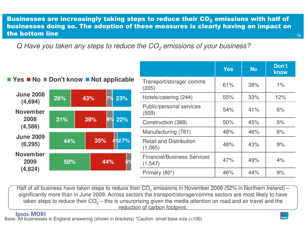#### Businesses are increasingly taking steps to reduce their CO<sub>2</sub> emissions with half of<br>besties as a delay on The administration of these measures is also the hardway on increast on businesses doing so. The adoption of these measures is clearly having an impact on the bottom line





| <b>Yes</b> | <b>No</b> | Don't<br>know |
|------------|-----------|---------------|
| 61%        | 38%       | $1\%$         |
| 55%        | 33%       | 12%           |
| 54%        | 41%       | 6%            |
| 50%        | 45%       | 5%            |
| 48%        | 46%       | 6%            |
| 48%        | 43%       | 9%            |
| 47%        | 49%       | 4%            |
| 46%        | 44%       | 9%            |
|            |           |               |

Half of all business have taken steps to reduce their  $CO_2$  emissions in November 2009 (52% in Northern Ireland) – significantly more than in June 2009. Across sectors the transport/storage/comms sectors are most likely to have taken steps to reduce their CO<sub>2</sub> – this is unsurprising given the media attention on road and air travel and the reduction of carbon footprint.

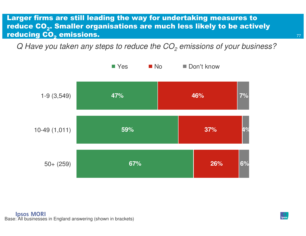#### Larger firms are still leading the way for undertaking measures to reduce CO $_{\mathbf{2}}$ . Smaller organisations are much less likely to be actively reducing CO $_{\rm 2}$ <sub>2</sub> emissions.

Q Have you taken any steps to reduce the CO $_2$  emissions of your business?

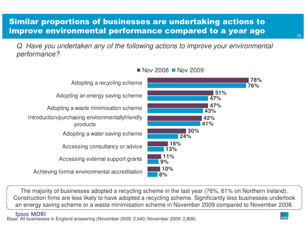### Similar proportions of businesses are undertaking actions to improve environmental performance compared to a year ago

Q Have you undertaken any of the following actions to improve your environmental performance?



Nov 2008 ■ Nov 2009

The majority of businesses adopted a recycling scheme in the last year (76%, 61% on Northern Ireland).Construction firms are less likely to have adopted a recycling scheme. Significantly less businesses undertook an energy saving scheme or a waste minimisation scheme in November 2009 compared to November 2008.

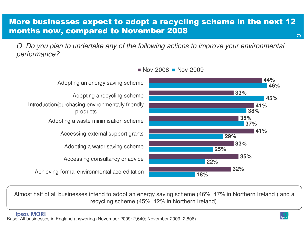### More businesses expect to adopt a recycling scheme in the next 12 months now, compared to November 2008

Q Do you plan to undertake any of the following actions to improve your environmental performance?



#### Nov 2008  $\blacksquare$  Nov 2009

Almost half of all businesses intend to adopt an energy saving scheme (46%, 47% in Northern Ireland ) and a recycling scheme (45%, 42% in Northern Ireland).

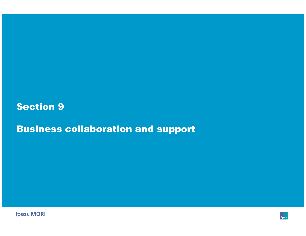### Section 9

Business collaboration and support



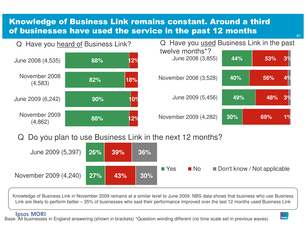### Knowledge of Business Link remains constant. Around a third of businesses have used the service in the past 12 months



Q Do you plan to use Business Link in the next 12 months?



Knowledge of Business Link in November 2009 remains at a similar level to June 2009. NBS data shows that business who use Business Link are likely to perform better – 35% of businesses who said their performance improved over the last 12 months used Business Link

**Ipsos MORI** 

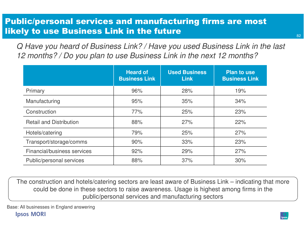### Public/personal services and manufacturing firms are most likely to use Business Link in the future

Q Have you heard of Business Link? / Have you used Business Link in the last 12 months? / Do you plan to use Business Link in the next 12 months?

|                                | <b>Heard of</b><br><b>Business Link</b> | <b>Used Business</b><br><b>Link</b> | <b>Plan to use</b><br><b>Business Link</b> |
|--------------------------------|-----------------------------------------|-------------------------------------|--------------------------------------------|
| Primary                        | 96%                                     | 28%                                 | 19%                                        |
| Manufacturing                  | 95%                                     | 35%                                 | 34%                                        |
| Construction                   | 77%                                     | 25%                                 | 23%                                        |
| <b>Retail and Distribution</b> | 88%                                     | 27%                                 | 22%                                        |
| Hotels/catering                | 79%                                     | 25%                                 | 27%                                        |
| Transport/storage/comms        | 90%                                     | 33%                                 | 23%                                        |
| Financial/business services    | 92%                                     | 29%                                 | 27%                                        |
| Public/personal services       | 88%                                     | 37%                                 | 30%                                        |

The construction and hotels/catering sectors are least aware of Business Link – indicating that more could be done in these sectors to raise awareness. Usage is highest among firms in the public/personal services and manufacturing sectors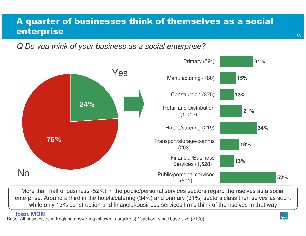### A quarter of businesses think of themselves as a social enterprise

Q Do you think of your business as a social enterprise?



More than half of business (52%) in the public/personal services sectors regard themselves as a social enterprise. Around a third in the hotels/catering (34%) and primary (31%) sectors class themselves as such, while only 13% construction and financial/business services firms think of themselves in that way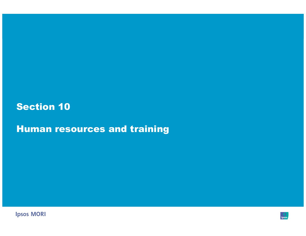## Section 10

Human resources and training



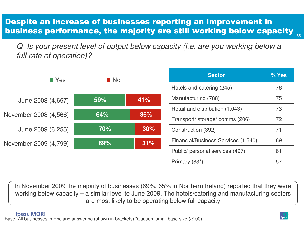### Despite an increase of businesses reporting an improvement in business performance, the majority are still working below capacity

Q Is your present level of output below capacity (i.e. are you working below a full rate of operation)?

| $\blacksquare$ Yes    | $\blacksquare$ No |     | <b>Sector</b>                       | % Yes |
|-----------------------|-------------------|-----|-------------------------------------|-------|
|                       |                   |     | Hotels and catering (245)           | 76    |
| June 2008 (4,657)     | 59%               | 41% | Manufacturing (788)                 | 75    |
|                       |                   |     | Retail and distribution (1,043)     | 73    |
| November 2008 (4,566) | 64%               | 36% | Transport/storage/comms (206)       | 72    |
| June 2009 (6,255)     | 70%               | 30% | Construction (392)                  | 71    |
| November 2009 (4,799) | 69%               | 31% | Financial/Business Services (1,540) | 69    |
|                       |                   |     | Public/ personal services (497)     | 61    |
|                       |                   |     | Primary (83*)                       | 57    |

In November 2009 the majority of businesses (69%, 65% in Northern Ireland) reported that they were working below capacity – a similar level to June 2009. The hotels/catering and manufacturing sectors are most likely to be operating below full capacity

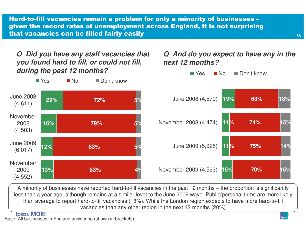Hard-to-fill vacancies remain a problem for only a minority of businesses –given the record rates of unemployment across England, it is not surprising<br>that we sensise asy ha filled fairly seally that vacancies can be filled fairly easily

**Q Did you have any staff vacancies that you found hard to fill, or could not fill, during the past 12 months?**

#### **Q And do you expect to have any in the next 12 months?**



A minority of businesses have reported hard-to-fill vacancies in the past 12 months – the proportion is significantly less than a year ago, although remains at a similar level to the June 2009 wave. Public/personal firms are more likely than average to report hard-to-fill vacancies (18%). While the London region expects to have more hard-to-fill vacancies than any other region in the next 12 months (20%)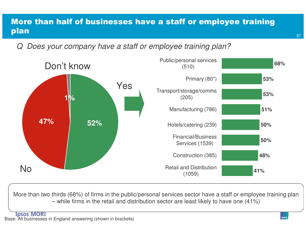### More than half of businesses have a staff or employee training plan

Q Does your company have a staff or employee training plan?



More than two thirds (68%) of firms in the public/personal services sector have a staff or employee training plan – while firms in the retail and distribution sector are least likely to have one (41%)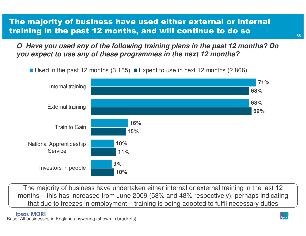### The majority of business have used either external or internal training in the past 12 months, and will continue to do so

**Q Have you used any of the following training plans in the past 12 months? Do you expect to use any of these programmes in the next 12 months?**



Used in the past 12 months (3,185)  $\blacksquare$  Expect to use in next 12 months (2,866)

The majority of business have undertaken either internal or external training in the last 12 months – this has increased from June 2009 (58% and 48% respectively), perhaps indicating that due to freezes in employment – training is being adopted to fulfil necessary duties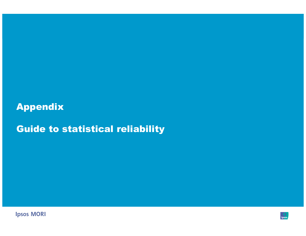## Appendix

Guide to statistical reliability



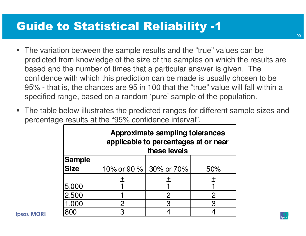# Guide to Statistical Reliability -1

- The variation between the sample results and the "true" values can be predicted from knowledge of the size of the samples on which the results are based and the number of times that a particular answer is given. The confidence with which this prediction can be made is usually chosen to be 95% - that is, the chances are 95 in 100 that the "true" value will fall within a specified range, based on a random 'pure' sample of the population.
- The table below illustrates the predicted ranges for different sample sizes and percentage results at the "95% confidence interval".

|               | <b>Approximate sampling tolerances</b><br>applicable to percentages at or near<br>these levels |   |              |  |
|---------------|------------------------------------------------------------------------------------------------|---|--------------|--|
| <b>Sample</b> |                                                                                                |   |              |  |
| <b>Size</b>   | 10% or 90 % 30% or 70%                                                                         |   | 50%          |  |
|               |                                                                                                |   |              |  |
| 5,000         |                                                                                                |   |              |  |
| 2,500         |                                                                                                |   | $\mathbf{2}$ |  |
| 1,000         | 2                                                                                              | 3 | 3            |  |
|               | ാ                                                                                              |   |              |  |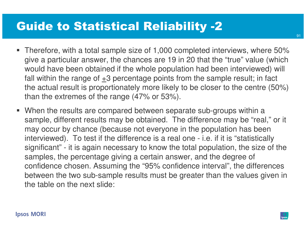# Guide to Statistical Reliability -2

- Therefore, with a total sample size of 1,000 completed interviews, where 50% give a particular answer, the chances are 19 in 20 that the "true" value (which would have been obtained if the whole population had been interviewed) will fall within the range of  $\pm 3$  percentage points from the sample result; in fact the actual result is proportionately more likely to be closer to the centre (50%) than the extremes of the range (47% or 53%).
- When the results are compared between separate sub-groups within a sample, different results may be obtained. The difference may be "real," or it may occur by chance (because not everyone in the population has been interviewed). To test if the difference is a real one - i.e. if it is "statistically significant" - it is again necessary to know the total population, the size of the samples, the percentage giving a certain answer, and the degree of confidence chosen. Assuming the "95% confidence interval", the differences between the two sub-sample results must be greater than the values given in the table on the next slide: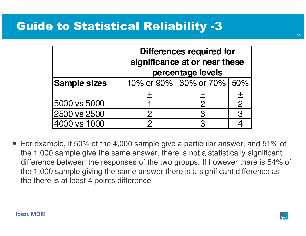## Guide to Statistical Reliability -3

|                     | Differences required for<br>significance at or near these<br>percentage levels |                           |               |  |
|---------------------|--------------------------------------------------------------------------------|---------------------------|---------------|--|
| <b>Sample sizes</b> |                                                                                | 10% or 90% 30% or 70% 50% |               |  |
|                     |                                                                                |                           |               |  |
| 5000 vs 5000        |                                                                                | $\mathcal{P}$             | $\mathcal{P}$ |  |
| 2500 vs 2500        | $\mathcal{P}$                                                                  | 3                         | 3             |  |
| 4000 vs 1000        | ク                                                                              | 3                         |               |  |

■ For example, if 50% of the 4,000 sample give a particular answer, and 51% of the 1,000 sample give the same answer, there is not a statistically significant difference between the responses of the two groups. If however there is 54% of the 1,000 sample giving the same answer there is a significant difference as the there is at least 4 points difference